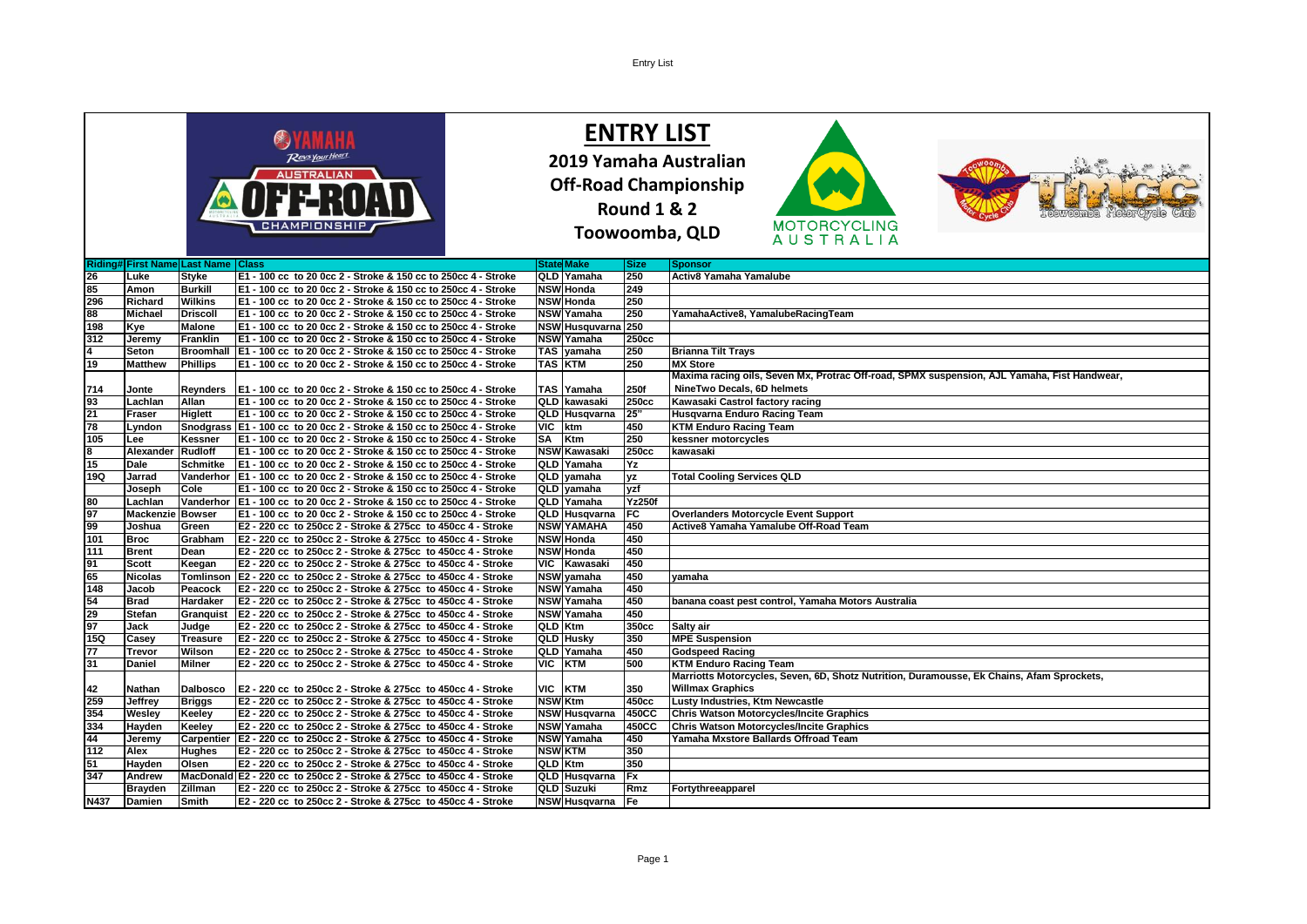|                  |                                      |                   | CHAMPIONSHI                                                               |                       | <b>Round 1 &amp; 2</b> | <b>ENTRY LIST</b><br>2019 Yamaha Australian<br><b>Off-Road Championship</b><br><b>MOTORCYCLING</b>                         |
|------------------|--------------------------------------|-------------------|---------------------------------------------------------------------------|-----------------------|------------------------|----------------------------------------------------------------------------------------------------------------------------|
|                  |                                      |                   |                                                                           |                       |                        | Toowoomba, QLD<br><b>AUSTRALIA</b>                                                                                         |
|                  | Riding# First Name Last Name   Class |                   |                                                                           | <b>State Make</b>     | <b>Size</b>            | <b>Sponsor</b>                                                                                                             |
|                  | Luke                                 | <b>Styke</b>      | E1 - 100 cc to 20 0cc 2 - Stroke & 150 cc to 250cc 4 - Stroke             | QLD Yamaha            | 250                    | Activ8 Yamaha Yamalube                                                                                                     |
| 85               | Amon                                 | <b>Burkill</b>    | E1 - 100 cc to 20 0cc 2 - Stroke & 150 cc to 250cc 4 - Stroke             | <b>NSW Honda</b>      | 249                    |                                                                                                                            |
| 296              | Richard                              | <b>Wilkins</b>    | E1 - 100 cc to 20 0cc 2 - Stroke & 150 cc to 250cc 4 - Stroke             | <b>NSW Honda</b>      | 250                    |                                                                                                                            |
| 88               | <b>Michael</b>                       | <b>Driscoll</b>   | E1 - 100 cc to 20 0cc 2 - Stroke & 150 cc to 250cc 4 - Stroke             | <b>NSW</b> Yamaha     | 250                    | YamahaActive8, YamalubeRacingTeam                                                                                          |
| 198              | Kye                                  | <b>Malone</b>     | E1 - 100 cc to 20 0cc 2 - Stroke & 150 cc to 250cc 4 - Stroke             | NSW Husquvarna 250    |                        |                                                                                                                            |
| 312              | Jeremy                               | <b>Franklin</b>   | E1 - 100 cc to 20 0cc 2 - Stroke & 150 cc to 250cc 4 - Stroke             | <b>NSW Yamaha</b>     | 250cc                  |                                                                                                                            |
|                  | Seton                                | <b>Broomhall</b>  | E1 - 100 cc to 20 0cc 2 - Stroke & 150 cc to 250cc 4 - Stroke             | TAS vamaha            | 250                    | <b>Brianna Tilt Trays</b>                                                                                                  |
| 19               | <b>Matthew</b>                       | <b>Phillips</b>   | E1 - 100 cc to 20 0cc 2 - Stroke & 150 cc to 250cc 4 - Stroke             | <b>TAS KTM</b>        | 250                    | <b>MX Store</b>                                                                                                            |
|                  |                                      |                   |                                                                           |                       |                        | Maxima racing oils, Seven Mx, Protrac Off-road, SPMX suspension, AJL Yamaha, Fist Handwear,                                |
| 714              | Jonte                                | <b>Reynders</b>   | E1 - 100 cc to 20 0cc 2 - Stroke & 150 cc to 250cc 4 - Stroke             | TAS Yamaha            | 250f                   | NineTwo Decals, 6D helmets                                                                                                 |
| 93               | Lachlan                              | Allan             | E1 - 100 cc to 20 0cc 2 - Stroke & 150 cc to 250cc 4 - Stroke             | QLD kawasaki          | 250cc                  | Kawasaki Castrol factory racing                                                                                            |
| 21               | Fraser                               | <b>Higlett</b>    | E1 - 100 cc to 20 0cc 2 - Stroke & 150 cc to 250cc 4 - Stroke             | QLD Husqvarna         | 25"                    | Husqvarna Enduro Racing Team                                                                                               |
| 78               | Lyndon                               |                   | Snodgrass   E1 - 100 cc to 20 0cc 2 - Stroke & 150 cc to 250cc 4 - Stroke | VIC ktm               | 450                    | <b>KTM Enduro Racing Team</b>                                                                                              |
| 105              | Lee                                  | Kessner           | E1 - 100 cc to 20 0cc 2 - Stroke & 150 cc to 250cc 4 - Stroke             | SA Ktm                | 250                    | kessner motorcycles                                                                                                        |
|                  | Alexander Rudloff                    |                   | E1 - 100 cc to 20 0cc 2 - Stroke & 150 cc to 250cc 4 - Stroke             | <b>NSW Kawasaki</b>   | 250 <sub>cc</sub>      | kawasaki                                                                                                                   |
| 15               | Dale                                 | Schmitke          | E1 - 100 cc to 20 0cc 2 - Stroke & 150 cc to 250cc 4 - Stroke             | QLD Yamaha            | Yz                     |                                                                                                                            |
| 19Q              | Jarrad                               | Vanderhor         | E1 - 100 cc to 20 0cc 2 - Stroke & 150 cc to 250cc 4 - Stroke             | QLD vamaha            | <b>yz</b>              | <b>Total Cooling Services QLD</b>                                                                                          |
|                  | Joseph                               | Cole              | E1 - 100 cc to 20 0cc 2 - Stroke & 150 cc to 250cc 4 - Stroke             | QLD yamaha            | yzf                    |                                                                                                                            |
| 80               | Lachlan                              | Vanderhor         | E1 - 100 cc to 20 0cc 2 - Stroke & 150 cc to 250cc 4 - Stroke             | QLD Yamaha            | <b>Yz250f</b>          |                                                                                                                            |
| 97               | <b>Mackenzi</b>                      | <b>Bowser</b>     | E1 - 100 cc to 20 0cc 2 - Stroke & 150 cc to 250cc 4 - Stroke             | QLD Husqvarna         | FC                     | <b>Overlanders Motorcycle Event Support</b>                                                                                |
| 99               | Joshua                               | Green             | E2 - 220 cc to 250cc 2 - Stroke & 275cc to 450cc 4 - Stroke               | <b>NSW YAMAHA</b>     | 450                    | Active8 Yamaha Yamalube Off-Road Team                                                                                      |
| 101              | <b>Broc</b>                          |                   | E2 - 220 cc to 250cc 2 - Stroke & 275cc to 450cc 4 - Stroke               | <b>NSW Honda</b>      | 450                    |                                                                                                                            |
| 111              | <b>Brent</b>                         | Grabham<br>Dean   | E2 - 220 cc to 250cc 2 - Stroke & 275cc to 450cc 4 - Stroke               | <b>NSW Honda</b>      | 450                    |                                                                                                                            |
|                  |                                      |                   |                                                                           |                       | 450                    |                                                                                                                            |
| 91               | <b>Scott</b>                         | Keegan            | E2 - 220 cc to 250cc 2 - Stroke & 275cc to 450cc 4 - Stroke               | VIC Kawasaki          | 450                    |                                                                                                                            |
| 65               | <b>Nicolas</b>                       | Tomlinson         | E2 - 220 cc to 250cc 2 - Stroke & 275cc to 450cc 4 - Stroke               | NSW yamaha            |                        | vamaha                                                                                                                     |
| 148              | Jacob                                | Peacock           | E2 - 220 cc to 250cc 2 - Stroke & 275cc to 450cc 4 - Stroke               | <b>NSW Yamaha</b>     | 450<br>450             |                                                                                                                            |
| 54               | <b>Brad</b>                          | Hardaker          | E2 - 220 cc to 250cc 2 - Stroke & 275cc to 450cc 4 - Stroke               | NSW Yamaha            | 450                    | banana coast pest control, Yamaha Motors Australia                                                                         |
| 29               | Stefan                               | Granguist         | E2 - 220 cc to 250cc 2 - Stroke & 275cc to 450cc 4 - Stroke               | NSW Yamaha            |                        |                                                                                                                            |
| 97<br><b>15Q</b> | <b>Jack</b>                          | Judge             | E2 - 220 cc to 250cc 2 - Stroke & 275cc to 450cc 4 - Stroke               | QLD Ktm               | 350cc<br>350           | Salty air                                                                                                                  |
|                  | Casey                                | <b>Treasure</b>   | E2 - 220 cc to 250cc 2 - Stroke & 275cc to 450cc 4 - Stroke               | <b>QLD Husky</b>      |                        | <b>MPE Suspension</b>                                                                                                      |
| 77               | <b>Trevor</b>                        | Wilson            | E2 - 220 cc to 250cc 2 - Stroke & 275cc to 450cc 4 - Stroke               | QLD Yamaha<br>VIC KTM | 450<br>500             | <b>Godspeed Racing</b>                                                                                                     |
| 31               | <b>Daniel</b>                        | <b>Milner</b>     | E2 - 220 cc to 250cc 2 - Stroke & 275cc to 450cc 4 - Stroke               |                       |                        | <b>KTM Enduro Racing Team</b><br>Marriotts Motorcycles, Seven, 6D, Shotz Nutrition, Duramousse, Ek Chains, Afam Sprockets, |
|                  |                                      |                   |                                                                           |                       |                        | <b>Willmax Graphics</b>                                                                                                    |
| 42               | Nathan                               | <b>Dalbosco</b>   | E2 - 220 cc to 250cc 2 - Stroke & 275cc to 450cc 4 - Stroke               | VIC KTM               | 350                    |                                                                                                                            |
| 259              | Jeffrey                              | <b>Briggs</b>     | E2 - 220 cc to 250cc 2 - Stroke & 275cc to 450cc 4 - Stroke               | <b>NSW</b> Ktm        | 450cc                  | Lusty Industries, Ktm Newcastle                                                                                            |
| 354<br>334       | Wesley                               | Keeley            | E2 - 220 cc to 250cc 2 - Stroke & 275cc to 450cc 4 - Stroke               | <b>NSW Husqvarna</b>  | 450CC                  | Chris Watson Motorcycles/Incite Graphics                                                                                   |
|                  | Hayden                               | Keeley            | E2 - 220 cc to 250cc 2 - Stroke & 275cc to 450cc 4 - Stroke               | <b>NSW Yamaha</b>     | 450CC                  | <b>Chris Watson Motorcycles/Incite Graphics</b>                                                                            |
| 44               | Jeremy                               | <b>Carpentier</b> | E2 - 220 cc to 250cc 2 - Stroke & 275cc to 450cc 4 - Stroke               | <b>NSW</b> Yamaha     | 450                    | Yamaha Mxstore Ballards Offroad Team                                                                                       |
| 112              | Alex                                 | <b>Hughes</b>     | E2 - 220 cc to 250cc 2 - Stroke & 275cc to 450cc 4 - Stroke               | <b>NSW KTM</b>        | 350                    |                                                                                                                            |
| 51               | Hayden                               | Olsen             | E2 - 220 cc to 250cc 2 - Stroke & 275cc to 450cc 4 - Stroke               | <b>QLD</b> Ktm        | 350                    |                                                                                                                            |
| 347              | Andrew                               |                   | MacDonald E2 - 220 cc to 250cc 2 - Stroke & 275cc to 450cc 4 - Stroke     | QLD Husqvarna         | <b>Fx</b>              |                                                                                                                            |
|                  | <b>Brayden</b>                       | <b>Zillman</b>    | E2 - 220 cc to 250cc 2 - Stroke & 275cc to 450cc 4 - Stroke               | QLD Suzuki            | Rmz                    | Fortythreeapparel                                                                                                          |
| <b>N437</b>      | <b>Damien</b>                        | Smith             | E2 - 220 cc to 250cc 2 - Stroke & 275cc to 450cc 4 - Stroke               | <b>NSW Husqvarna</b>  | lFe                    |                                                                                                                            |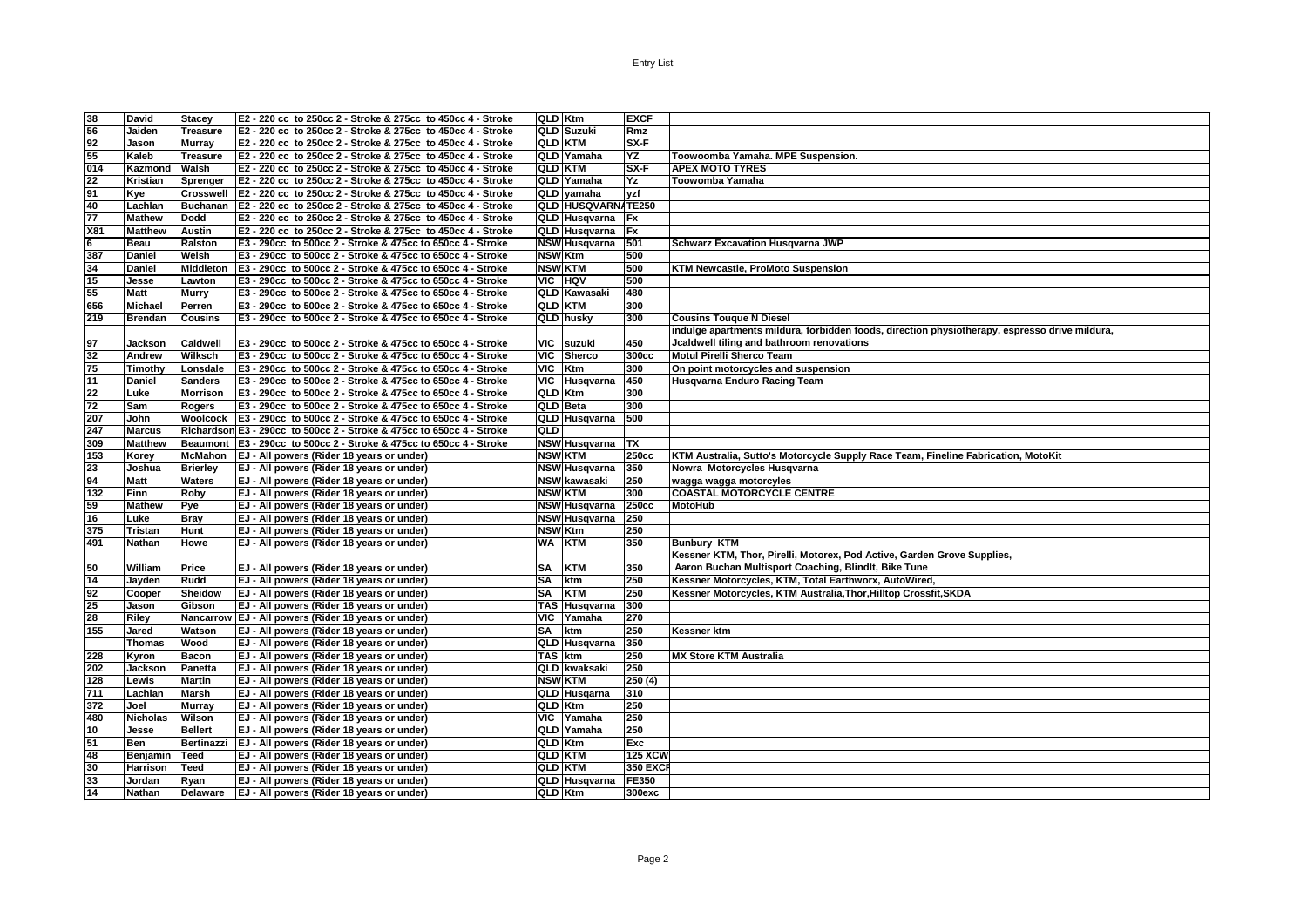| 38              | <b>David</b>    | <b>Stacey</b>    | E2 - 220 cc to 250cc 2 - Stroke & 275cc to 450cc 4 - Stroke           |                | <b>QLD Ktm</b>            | <b>EXCF</b>     |                                                                                               |
|-----------------|-----------------|------------------|-----------------------------------------------------------------------|----------------|---------------------------|-----------------|-----------------------------------------------------------------------------------------------|
| 56              | Jaiden          | <b>Treasure</b>  | E2 - 220 cc to 250cc 2 - Stroke & 275cc to 450cc 4 - Stroke           |                | <b>QLD Suzuki</b>         | Rmz             |                                                                                               |
| 92              | Jason           | <b>Murray</b>    | E2 - 220 cc to 250cc 2 - Stroke & 275cc to 450cc 4 - Stroke           |                | <b>QLD KTM</b>            | $S X-F$         |                                                                                               |
| 55              | Kaleb           | <b>Treasure</b>  | E2 - 220 cc to 250cc 2 - Stroke & 275cc to 450cc 4 - Stroke           |                | QLD Yamaha                | ΥZ              | Toowoomba Yamaha. MPE Suspension.                                                             |
| 014             | Kazmond         | Walsh            | E2 - 220 cc to 250cc 2 - Stroke & 275cc to 450cc 4 - Stroke           |                | <b>QLD KTM</b>            | $SX-F$          | <b>APEX MOTO TYRES</b>                                                                        |
| 22              | Kristian        | Sprenger         | E2 - 220 cc to 250cc 2 - Stroke & 275cc to 450cc 4 - Stroke           |                | QLD Yamaha                | Yz              | Toowomba Yamaha                                                                               |
| 91              |                 | <b>Crosswell</b> | E2 - 220 cc to 250cc 2 - Stroke & 275cc to 450cc 4 - Stroke           |                | QLD vamaha                | yzf             |                                                                                               |
| 40              | Kye             |                  | Buchanan E2 - 220 cc to 250cc 2 - Stroke & 275cc to 450cc 4 - Stroke  |                | <b>QLD HUSQVARN/TE250</b> |                 |                                                                                               |
|                 | Lachlan         | <b>Dodd</b>      | E2 - 220 cc to 250cc 2 - Stroke & 275cc to 450cc 4 - Stroke           |                |                           |                 |                                                                                               |
| 77<br>X81       | <b>Mathew</b>   | <b>Austin</b>    |                                                                       |                | QLD Husqvarna             | <b>Fx</b>       |                                                                                               |
|                 | <b>Matthew</b>  |                  | E2 - 220 cc to 250cc 2 - Stroke & 275cc to 450cc 4 - Stroke           |                | QLD Husqvarna             | <b>Fx</b>       |                                                                                               |
| 6               | Beau            | Ralston          | E3 - 290cc to 500cc 2 - Stroke & 475cc to 650cc 4 - Stroke            |                | <b>NSW</b> Husqvarna      | 501             | <b>Schwarz Excavation Husqvarna JWP</b>                                                       |
| 387             | Daniel          | Welsh            | E3 - 290cc to 500cc 2 - Stroke & 475cc to 650cc 4 - Stroke            |                | <b>NSW</b> Ktm            | 500             |                                                                                               |
| 34              | <b>Daniel</b>   | <b>Middleton</b> | E3 - 290cc to 500cc 2 - Stroke & 475cc to 650cc 4 - Stroke            |                | <b>NSW KTM</b>            | 500             | <b>KTM Newcastle, ProMoto Suspension</b>                                                      |
| 15              | Jesse           | Lawton           | E3 - 290cc to 500cc 2 - Stroke & 475cc to 650cc 4 - Stroke            |                | VIC HQV                   | 500             |                                                                                               |
| 55              | <b>Matt</b>     | <b>Murry</b>     | E3 - 290cc to 500cc 2 - Stroke & 475cc to 650cc 4 - Stroke            |                | <b>QLD Kawasaki</b>       | 480             |                                                                                               |
| 656             | Michael         | Perren           | E3 - 290cc to 500cc 2 - Stroke & 475cc to 650cc 4 - Stroke            |                | <b>QLD KTM</b>            | 300             |                                                                                               |
| 219             | Brendan         | <b>Cousins</b>   | E3 - 290cc to 500cc 2 - Stroke & 475cc to 650cc 4 - Stroke            |                | QLD husky                 | 300             | <b>Cousins Touque N Diesel</b>                                                                |
|                 |                 |                  |                                                                       |                |                           |                 | indulge apartments mildura, forbidden foods, direction physiotherapy, espresso drive mildura, |
| 197             | Jackson         | Caldwell         | E3 - 290cc to 500cc 2 - Stroke & 475cc to 650cc 4 - Stroke            | VIC            | suzuki                    | 450             | Jcaldwell tiling and bathroom renovations                                                     |
| 32              | Andrew          | Wilksch          | E3 - 290cc to 500cc 2 - Stroke & 475cc to 650cc 4 - Stroke            |                | VIC Sherco                | 300cc           | Motul Pirelli Sherco Team                                                                     |
| 75              | Timothy         | Lonsdale         | E3 - 290cc to 500cc 2 - Stroke & 475cc to 650cc 4 - Stroke            | <b>VIC</b>     | Ktm                       | 300             | On point motorcycles and suspension                                                           |
| 11              | <b>Daniel</b>   | <b>Sanders</b>   | E3 - 290cc to 500cc 2 - Stroke & 475cc to 650cc 4 - Stroke            |                | VIC Husqvarna             | 450             | Husgvarna Enduro Racing Team                                                                  |
| 22              | Luke            | <b>Morrison</b>  | E3 - 290cc to 500cc 2 - Stroke & 475cc to 650cc 4 - Stroke            |                | <b>QLD Ktm</b>            | 300             |                                                                                               |
| 72              | Sam             | <b>Rogers</b>    | E3 - 290cc to 500cc 2 - Stroke & 475cc to 650cc 4 - Stroke            |                | <b>QLD</b> Beta           | 300             |                                                                                               |
| 207             | John            |                  | Woolcock   E3 - 290cc to 500cc 2 - Stroke & 475cc to 650cc 4 - Stroke |                | QLD Husqvarna             | 500             |                                                                                               |
| 247             | <b>Marcus</b>   |                  | Richardson E3 - 290cc to 500cc 2 - Stroke & 475cc to 650cc 4 - Stroke | QLD            |                           |                 |                                                                                               |
| 309             | <b>Matthew</b>  |                  | Beaumont E3 - 290cc to 500cc 2 - Stroke & 475cc to 650cc 4 - Stroke   |                | NSW Husqvarna             | <b>TX</b>       |                                                                                               |
| 153             | Korey           |                  | McMahon   EJ - All powers (Rider 18 years or under)                   |                | <b>NSW KTM</b>            | 250cc           | KTM Australia, Sutto's Motorcycle Supply Race Team, Fineline Fabrication, MotoKit             |
| 23              | Joshua          | <b>Brierley</b>  | EJ - All powers (Rider 18 years or under)                             |                | <b>NSW Husqvarna</b>      | 350             | Nowra Motorcycles Husqvarna                                                                   |
| 94              | <b>Matt</b>     | <b>Waters</b>    | EJ - All powers (Rider 18 years or under)                             |                | <b>NSW kawasaki</b>       | 250             | wagga wagga motorcyles                                                                        |
| 132             | <b>Finn</b>     | Roby             | EJ - All powers (Rider 18 years or under)                             |                | <b>NSW KTM</b>            | 300             | <b>COASTAL MOTORCYCLE CENTRE</b>                                                              |
| 59              | <b>Mathew</b>   | Pye              | EJ - All powers (Rider 18 years or under)                             |                | <b>NSW Husqvarna</b>      | 250cc           | <b>MotoHub</b>                                                                                |
| 16              | Luke            | <b>Bray</b>      | EJ - All powers (Rider 18 years or under)                             |                | <b>NSW Husqvarna</b>      | 250             |                                                                                               |
| 375             | <b>Tristan</b>  | <b>Hunt</b>      | EJ - All powers (Rider 18 years or under)                             |                | <b>NSW Ktm</b>            | 250             |                                                                                               |
| 491             | Nathan          | Howe             | EJ - All powers (Rider 18 years or under)                             | <b>WA</b>      | <b>KTM</b>                | 350             | <b>Bunbury KTM</b>                                                                            |
|                 |                 |                  |                                                                       |                |                           |                 | Kessner KTM, Thor, Pirelli, Motorex, Pod Active, Garden Grove Supplies,                       |
| 50              | William         | Price            | EJ - All powers (Rider 18 years or under)                             | <b>SA</b>      | <b>KTM</b>                | 350             | Aaron Buchan Multisport Coaching, Blindlt, Bike Tune                                          |
| 14              | Jayden          | Rudd             | EJ - All powers (Rider 18 years or under)                             | <b>SA</b>      | ktm                       | 250             | Kessner Motorcycles, KTM, Total Earthworx, AutoWired,                                         |
| $\overline{92}$ | Cooper          | Sheidow          | EJ - All powers (Rider 18 years or under)                             | <b>SA</b>      | <b>KTM</b>                | 250             | Kessner Motorcycles, KTM Australia, Thor, Hilltop Crossfit, SKDA                              |
| 25              | Jason           | Gibson           | EJ - All powers (Rider 18 years or under)                             |                | <b>TAS Husqvarna</b>      | 300             |                                                                                               |
| 28              | Riley           |                  | Nancarrow EJ - All powers (Rider 18 years or under)                   | <b>VIC</b>     | Yamaha                    | 270             |                                                                                               |
| 155             | <b>Jared</b>    | Watson           | EJ - All powers (Rider 18 years or under)                             | <b>SA</b>      | ktm                       | 250             | <b>Kessner ktm</b>                                                                            |
|                 | <b>Thomas</b>   | Wood             | EJ - All powers (Rider 18 years or under)                             |                | QLD Husqvarna             | 350             |                                                                                               |
| 228             | Kyron           | <b>Bacon</b>     | EJ - All powers (Rider 18 years or under)                             |                | <b>TAS</b> ktm            | 250             | <b>MX Store KTM Australia</b>                                                                 |
| 202             | Jackson         | Panetta          | EJ - All powers (Rider 18 years or under)                             |                | QLD kwaksaki              | 250             |                                                                                               |
| 128             | Lewis           | <b>Martin</b>    | EJ - All powers (Rider 18 years or under)                             |                | <b>NSW KTM</b>            | 250 (4)         |                                                                                               |
| 711             | Lachlan         | Marsh            | EJ - All powers (Rider 18 years or under)                             |                | QLD Husqarna              | 310             |                                                                                               |
| 372             | Joel            | <b>Murray</b>    | EJ - All powers (Rider 18 years or under)                             |                | QLD Ktm                   | 250             |                                                                                               |
| 480             | <b>Nicholas</b> | Wilson           | EJ - All powers (Rider 18 years or under)                             |                | VIC Yamaha                | 250             |                                                                                               |
| 10              | Jesse           | <b>Bellert</b>   | EJ - All powers (Rider 18 years or under)                             |                | QLD Yamaha                | 250             |                                                                                               |
| 51              | Ben             | Bertinazzi       | EJ - All powers (Rider 18 years or under)                             | <b>QLD Ktm</b> |                           | Exc             |                                                                                               |
| 48              | Benjamin        | <b>Teed</b>      | EJ - All powers (Rider 18 years or under)                             |                | <b>QLD KTM</b>            | <b>125 XCW</b>  |                                                                                               |
| 30              | Harrison        | Teed             | EJ - All powers (Rider 18 years or under)                             |                | <b>QLD KTM</b>            | <b>350 EXCF</b> |                                                                                               |
| 33              | Jordan          | Ryan             | EJ - All powers (Rider 18 years or under)                             |                | QLD Husqvarna             | FE350           |                                                                                               |
| 14              | Nathan          | Delaware         | EJ - All powers (Rider 18 years or under)                             | QLD Ktm        |                           | <b>300exc</b>   |                                                                                               |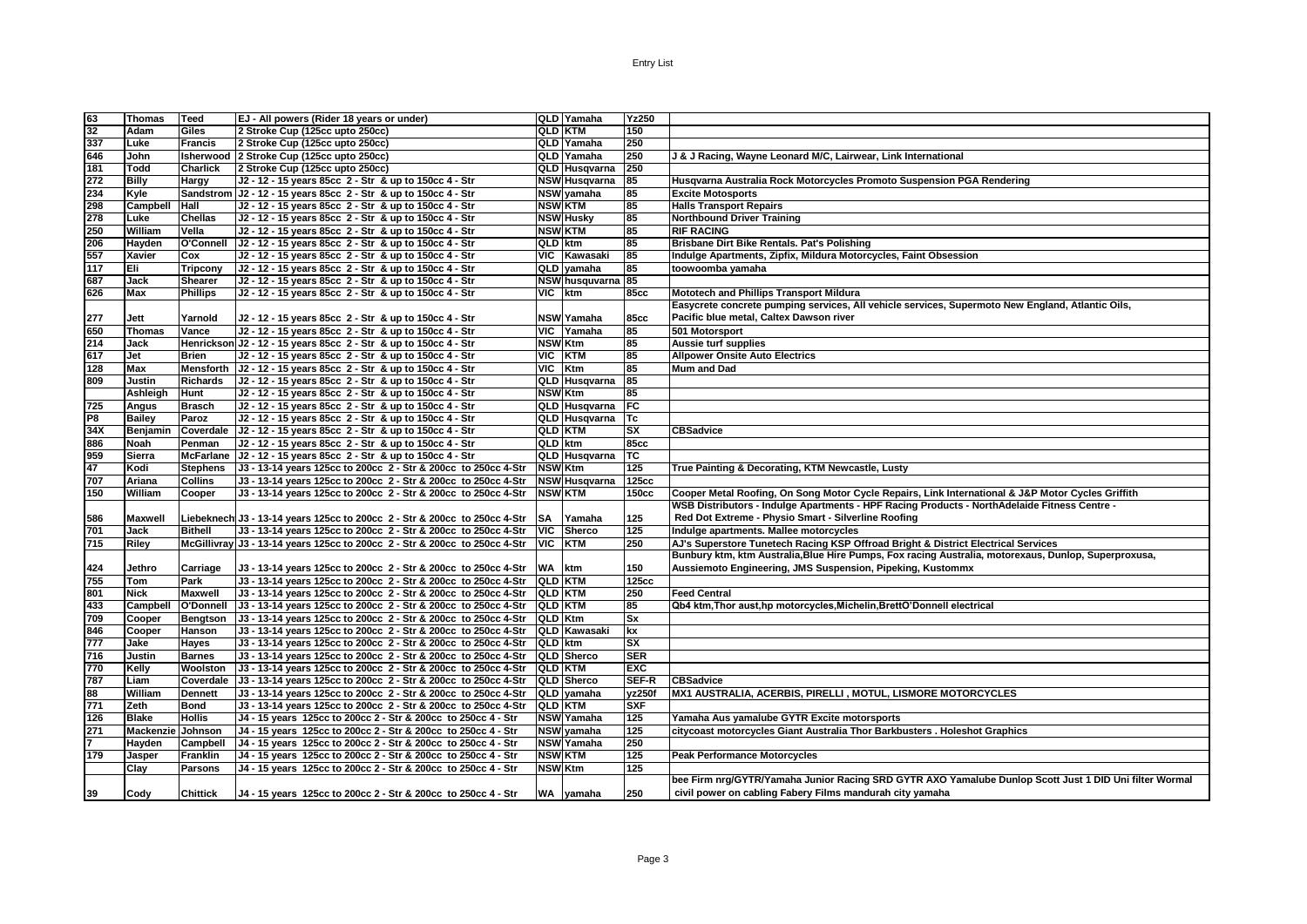|                 | Thomas            | Teed            | EJ - All powers (Rider 18 years or under)                                  |                           | QLD Yamaha          | Yz250                   |                                                                                                                                                     |
|-----------------|-------------------|-----------------|----------------------------------------------------------------------------|---------------------------|---------------------|-------------------------|-----------------------------------------------------------------------------------------------------------------------------------------------------|
| $\frac{63}{32}$ | Adam              | Giles           | 2 Stroke Cup (125cc upto 250cc)                                            | <b>QLD KTM</b>            |                     | 150                     |                                                                                                                                                     |
| 337             | Luke              | <b>Francis</b>  | 2 Stroke Cup (125cc upto 250cc)                                            |                           | QLD Yamaha          | 250                     |                                                                                                                                                     |
| 646             | John              |                 | Isherwood 2 Stroke Cup (125cc upto 250cc)                                  |                           | QLD Yamaha          | 250                     | J & J Racing, Wayne Leonard M/C, Lairwear, Link International                                                                                       |
| 181             | Todd              | <b>Charlick</b> | 2 Stroke Cup (125cc upto 250cc)                                            |                           | QLD Husqvarna       | 250                     |                                                                                                                                                     |
| 272             | <b>Billy</b>      | Hargy           | J2 - 12 - 15 years 85cc 2 - Str & up to 150cc 4 - Str                      |                           | NSW Husqvarna       | 85                      | Husqvarna Australia Rock Motorcycles Promoto Suspension PGA Rendering                                                                               |
| 234             | Kyle              |                 | Sandstrom   J2 - 12 - 15 years 85cc 2 - Str & up to 150cc 4 - Str          |                           | NSW yamaha          | 85                      | <b>Excite Motosports</b>                                                                                                                            |
| 298             | Campbell          | Hall            | J2 - 12 - 15 years 85cc 2 - Str & up to 150cc 4 - Str                      | <b>NSW KTM</b>            |                     | 85                      | <b>Halls Transport Repairs</b>                                                                                                                      |
| 278             | Luke              | <b>Chellas</b>  | J2 - 12 - 15 years 85cc 2 - Str & up to 150cc 4 - Str                      |                           | <b>NSW Husky</b>    | 85                      | <b>Northbound Driver Training</b>                                                                                                                   |
| 250             | William           | Vella           | J2 - 12 - 15 years 85cc 2 - Str & up to 150cc 4 - Str                      |                           | <b>NSW KTM</b>      | 85                      | <b>RIF RACING</b>                                                                                                                                   |
|                 | Hayden            | O'Connell       | J2 - 12 - 15 years 85cc 2 - Str & up to 150cc 4 - Str                      | QLD ktm                   |                     | 85                      | Brisbane Dirt Bike Rentals. Pat's Polishing                                                                                                         |
| 206<br>557      | Xavier            | Cox             | J2 - 12 - 15 years 85cc 2 - Str & up to 150cc 4 - Str                      |                           | VIC Kawasaki        | 85                      | Indulge Apartments, Zipfix, Mildura Motorcycles, Faint Obsession                                                                                    |
| 117             | Eli               | <b>Tripcony</b> | J2 - 12 - 15 years 85cc 2 - Str & up to 150cc 4 - Str                      |                           | QLD vamaha          | 85                      | toowoomba yamaha                                                                                                                                    |
| 687             | Jack              | <b>Shearer</b>  | J2 - 12 - 15 years 85cc 2 - Str & up to 150cc 4 - Str                      |                           | NSW husquvarna 85   |                         |                                                                                                                                                     |
| 626             | Max               | <b>Phillips</b> | J2 - 12 - 15 years 85cc 2 - Str & up to 150cc 4 - Str                      | VIC I                     | ktm                 | <b>85cc</b>             | <b>Mototech and Phillips Transport Mildura</b>                                                                                                      |
|                 |                   |                 |                                                                            |                           |                     |                         | Easycrete concrete pumping services, All vehicle services, Supermoto New England, Atlantic Oils,                                                    |
|                 | Jett              | Yarnold         | J2 - 12 - 15 years 85cc 2 - Str & up to 150cc 4 - Str                      |                           | <b>NSW Yamaha</b>   | <b>85cc</b>             | Pacific blue metal, Caltex Dawson river                                                                                                             |
| 277<br>650      | <b>Thomas</b>     | Vance           | J2 - 12 - 15 years 85cc 2 - Str & up to 150cc 4 - Str                      |                           | VIC Yamaha          | 85                      | 501 Motorsport                                                                                                                                      |
| 214             | Jack              |                 | Henrickson J2 - 12 - 15 years 85cc 2 - Str & up to 150cc 4 - Str           | <b>NSW Ktm</b>            |                     | 85                      | Aussie turf supplies                                                                                                                                |
| 617             | Jet               | <b>Brien</b>    | J2 - 12 - 15 years 85cc 2 - Str & up to 150cc 4 - Str                      | VIC                       | <b>KTM</b>          | 85                      | <b>Allpower Onsite Auto Electrics</b>                                                                                                               |
| 128             | <b>Max</b>        |                 | Mensforth   J2 - 12 - 15 years 85cc 2 - Str & up to 150cc 4 - Str          | <b>VIC</b>                | Ktm                 | 85                      | <b>Mum and Dad</b>                                                                                                                                  |
| 809             | Justin            | <b>Richards</b> | J2 - 12 - 15 years 85cc 2 - Str & up to 150cc 4 - Str                      |                           | QLD Husqvarna       | $\overline{85}$         |                                                                                                                                                     |
|                 | <b>Ashleigh</b>   | <b>Hunt</b>     | J2 - 12 - 15 years 85cc 2 - Str & up to 150cc 4 - Str                      | <b>NSW</b> Ktm            |                     | 85                      |                                                                                                                                                     |
| 725             |                   |                 |                                                                            |                           |                     | F                       |                                                                                                                                                     |
| P8              | Angus             | <b>Brasch</b>   | J2 - 12 - 15 years 85cc 2 - Str & up to 150cc 4 - Str                      |                           | QLD Husqvarna       |                         |                                                                                                                                                     |
|                 | <b>Bailey</b>     | Paroz           | J2 - 12 - 15 years 85cc 2 - Str & up to 150cc 4 - Str                      |                           | QLD Husqvarna       | <b>Tc</b>               |                                                                                                                                                     |
| 34X<br>886      | Benjamin          |                 | Coverdale J2 - 12 - 15 years 85cc 2 - Str & up to 150cc 4 - Str            | <b>QLD KTM</b><br>QLD ktm |                     | sx<br><b>85cc</b>       | <b>CBSadvice</b>                                                                                                                                    |
|                 | <b>Noah</b>       | Penman          | J2 - 12 - 15 years 85cc 2 - Str & up to 150cc 4 - Str                      |                           |                     |                         |                                                                                                                                                     |
| 959             | Sierra            |                 | McFarlane   J2 - 12 - 15 years 85cc 2 - Str & up to 150cc 4 - Str          |                           | QLD Husqvarna       | ТC                      |                                                                                                                                                     |
| 47<br>707       | Kodi              | <b>Stephens</b> | J3 - 13-14 years 125cc to 200cc 2 - Str & 200cc to 250cc 4-Str             | <b>NSW Ktm</b>            |                     | 125                     | True Painting & Decorating, KTM Newcastle, Lusty                                                                                                    |
|                 | Ariana            | <b>Collins</b>  | J3 - 13-14 years 125cc to 200cc 2 - Str & 200cc to 250cc 4-Str             |                           | NSW Husqvarna       | <b>125cc</b>            |                                                                                                                                                     |
| 150             | William           | Cooper          | J3 - 13-14 years 125cc to 200cc 2 - Str & 200cc to 250cc 4-Str             | <b>NSW KTM</b>            |                     | 150cc                   | Cooper Metal Roofing, On Song Motor Cycle Repairs, Link International & J&P Motor Cycles Griffith                                                   |
|                 |                   |                 |                                                                            |                           |                     |                         | WSB Distributors - Indulge Apartments - HPF Racing Products - NorthAdelaide Fitness Centre -<br>Red Dot Extreme - Physio Smart - Silverline Roofing |
| 586             | <b>Maxwell</b>    |                 | Liebeknech J3 - 13-14 years 125cc to 200cc 2 - Str & 200cc to 250cc 4-Str  | <b>SA</b>                 | Yamaha              | 125                     |                                                                                                                                                     |
| 701             | Jack              | <b>Bithell</b>  | J3 - 13-14 years 125cc to 200cc 2 - Str & 200cc to 250cc 4-Str             | <b>VIC</b>                | <b>Sherco</b>       | 125                     | Indulge apartments. Mallee motorcycles                                                                                                              |
| 715             | Riley             |                 | McGillivray J3 - 13-14 years 125cc to 200cc 2 - Str & 200cc to 250cc 4-Str | <b>VIC</b>                | <b>KTM</b>          | 250                     | AJ's Superstore Tunetech Racing KSP Offroad Bright & District Electrical Services                                                                   |
|                 |                   |                 |                                                                            |                           |                     |                         | Bunbury ktm, ktm Australia, Blue Hire Pumps, Fox racing Australia, motorexaus, Dunlop, Superproxusa,                                                |
| 424             | Jethro            | Carriage        | U3 - 13-14 years 125cc to 200cc 2 - Str & 200cc to 250cc 4-Str             | WA ktm                    |                     | 150                     | Aussiemoto Engineering, JMS Suspension, Pipeking, Kustommx                                                                                          |
| 755             | Tom               | Park            | J3 - 13-14 years 125cc to 200cc 2 - Str & 200cc to 250cc 4-Str             | <b>QLD KTM</b>            |                     | 125cc                   |                                                                                                                                                     |
| 801             | Nick              | <b>Maxwell</b>  | J3 - 13-14 years 125cc to 200cc 2 - Str & 200cc to 250cc 4-Str             | <b>QLD KTM</b>            |                     | 250                     | <b>Feed Central</b>                                                                                                                                 |
| 433             | Campbell          | O'Donnell       | J3 - 13-14 years 125cc to 200cc 2 - Str & 200cc to 250cc 4-Str             | <b>QLD KTM</b>            |                     | 85                      | Qb4 ktm, Thor aust, hp motorcycles, Michelin, BrettO'Donnell electrical                                                                             |
| 709             | Cooper            | <b>Bengtson</b> | J3 - 13-14 years 125cc to 200cc 2 - Str & 200cc to 250cc 4-Str             | QLD Ktm                   |                     | Sx                      |                                                                                                                                                     |
| 846             | Cooper            | Hanson          | J3 - 13-14 years 125cc to 200cc 2 - Str & 200cc to 250cc 4-Str             |                           | <b>QLD Kawasaki</b> | $\overline{\mathbf{x}}$ |                                                                                                                                                     |
| 777             | Jake              | Hayes           | J3 - 13-14 years 125cc to 200cc 2 - Str & 200cc to 250cc 4-Str             | QLD ktm                   |                     | sx                      |                                                                                                                                                     |
| 716             | Justin            | <b>Barnes</b>   | J3 - 13-14 years 125cc to 200cc 2 - Str & 200cc to 250cc 4-Str             |                           | QLD Sherco          | <b>SER</b>              |                                                                                                                                                     |
| 770             | Kelly             | Woolston        | U3 - 13-14 years 125cc to 200cc 2 - Str & 200cc to 250cc 4-Str             |                           | <b>QLD KTM</b>      | <b>EXC</b>              |                                                                                                                                                     |
| 787             | Liam              |                 | Coverdale   J3 - 13-14 years 125cc to 200cc 2 - Str & 200cc to 250cc 4-Str |                           | QLD Sherco          | SEF-R                   | <b>CBSadvice</b>                                                                                                                                    |
| 88              | William           | <b>Dennett</b>  | J3 - 13-14 years 125cc to 200cc 2 - Str & 200cc to 250cc 4-Str             |                           | QLD yamaha          | yz250f                  | MX1 AUSTRALIA, ACERBIS, PIRELLI, MOTUL, LISMORE MOTORCYCLES                                                                                         |
| 771             | Zeth              | <b>Bond</b>     | J3 - 13-14 years 125cc to 200cc 2 - Str & 200cc to 250cc 4-Str             | <b>QLD KTM</b>            |                     | <b>SXF</b>              |                                                                                                                                                     |
| 126             | <b>Blake</b>      | <b>Hollis</b>   | J4 - 15 years 125cc to 200cc 2 - Str & 200cc to 250cc 4 - Str              |                           | <b>NSW Yamaha</b>   | 125                     | Yamaha Aus yamalube GYTR Excite motorsports                                                                                                         |
| 271             | Mackenzie Johnson |                 | J4 - 15 years 125cc to 200cc 2 - Str & 200cc to 250cc 4 - Str              |                           | NSW yamaha          | 125                     | citycoast motorcycles Giant Australia Thor Barkbusters . Holeshot Graphics                                                                          |
| 7               | Hayden            | Campbell        | J4 - 15 years 125cc to 200cc 2 - Str & 200cc to 250cc 4 - Str              |                           | <b>NSW Yamaha</b>   | 250                     |                                                                                                                                                     |
| 179             | Jasper            | <b>Franklin</b> | J4 - 15 years 125cc to 200cc 2 - Str & 200cc to 250cc 4 - Str              | <b>NSW KTM</b>            |                     | 125                     | <b>Peak Performance Motorcycles</b>                                                                                                                 |
|                 | Clay              | <b>Parsons</b>  | J4 - 15 years 125cc to 200cc 2 - Str & 200cc to 250cc 4 - Str              | <b>NSW Ktm</b>            |                     | 125                     |                                                                                                                                                     |
|                 |                   |                 |                                                                            |                           |                     |                         | bee Firm nrg/GYTR/Yamaha Junior Racing SRD GYTR AXO Yamalube Dunlop Scott Just 1 DID Uni filter Wormal                                              |
| 39              | Cody              | <b>Chittick</b> | U4 - 15 years 125cc to 200cc 2 - Str & 200cc to 250cc 4 - Str              |                           | WA yamaha           | 250                     | civil power on cabling Fabery Films mandurah city yamaha                                                                                            |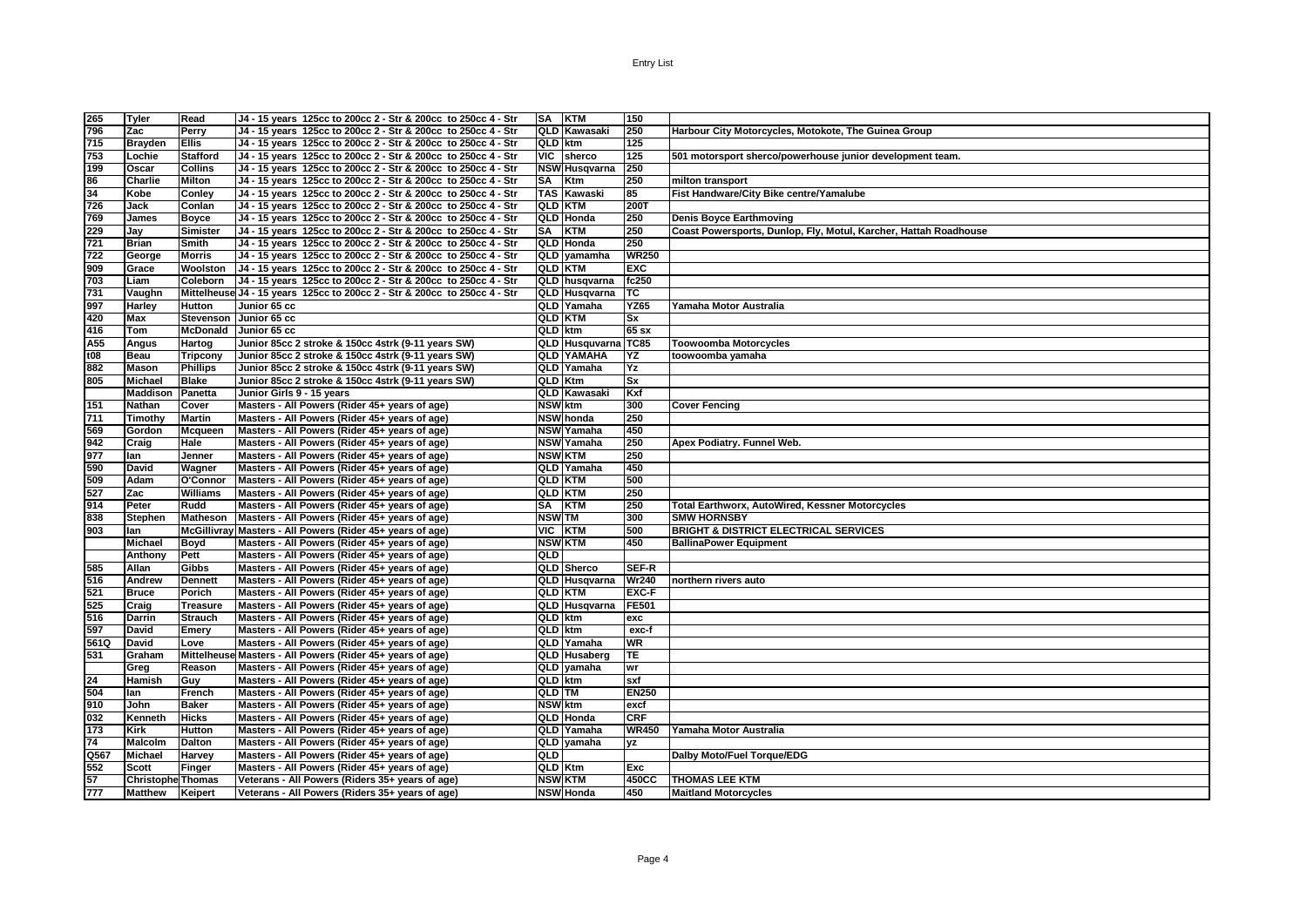| 265  | Tyler                    | Read            | J4 - 15 years 125cc to 200cc 2 - Str & 200cc to 250cc 4 - Str             | SA KTM         |                      | 150          |                                                                  |
|------|--------------------------|-----------------|---------------------------------------------------------------------------|----------------|----------------------|--------------|------------------------------------------------------------------|
| 796  | Zac                      | Perry           | J4 - 15 years 125cc to 200cc 2 - Str & 200cc to 250cc 4 - Str             |                | QLD Kawasaki         | 250          | Harbour City Motorcycles, Motokote, The Guinea Group             |
| 715  | <b>Brayden</b>           | <b>Ellis</b>    | J4 - 15 years 125cc to 200cc 2 - Str & 200cc to 250cc 4 - Str             | QLD ktm        |                      | 125          |                                                                  |
| 753  | Lochie                   | Stafford        | J4 - 15 years 125cc to 200cc 2 - Str & 200cc to 250cc 4 - Str             |                | VIC sherco           | 125          | 501 motorsport sherco/powerhouse junior development team.        |
| 199  | Oscar                    | <b>Collins</b>  | J4 - 15 years 125cc to 200cc 2 - Str & 200cc to 250cc 4 - Str             |                | <b>NSW</b> Husqvarna | 250          |                                                                  |
| 86   | Charlie                  | <b>Milton</b>   | J4 - 15 years 125cc to 200cc 2 - Str & 200cc to 250cc 4 - Str             | SA Ktm         |                      | 250          | milton transport                                                 |
| 34   | Kobe                     | Conley          | J4 - 15 years 125cc to 200cc 2 - Str & 200cc to 250cc 4 - Str             |                | <b>TAS Kawaski</b>   | 85           | Fist Handware/City Bike centre/Yamalube                          |
| 726  | Jack                     | Conlan          | J4 - 15 years 125cc to 200cc 2 - Str & 200cc to 250cc 4 - Str             | <b>QLD KTM</b> |                      | 200T         |                                                                  |
| 769  | James                    | <b>Boyce</b>    | J4 - 15 years 125cc to 200cc 2 - Str & 200cc to 250cc 4 - Str             |                | QLD Honda            | 250          | <b>Denis Boyce Earthmoving</b>                                   |
| 229  | Jay                      | <b>Simister</b> | J4 - 15 years 125cc to 200cc 2 - Str & 200cc to 250cc 4 - Str             | SA KTM         |                      | 250          | Coast Powersports, Dunlop, Fly, Motul, Karcher, Hattah Roadhouse |
| 721  | Brian                    | Smith           | J4 - 15 years 125cc to 200cc 2 - Str & 200cc to 250cc 4 - Str             |                | QLD Honda            | 250          |                                                                  |
| 722  | George                   | <b>Morris</b>   | J4 - 15 years 125cc to 200cc 2 - Str & 200cc to 250cc 4 - Str             |                | QLD yamamha          | <b>WR250</b> |                                                                  |
| 909  | Grace                    | Woolston        | J4 - 15 years 125cc to 200cc 2 - Str & 200cc to 250cc 4 - Str             | <b>QLD KTM</b> |                      | EXC          |                                                                  |
| 703  | Liam                     | Coleborn        | J4 - 15 years 125cc to 200cc 2 - Str & 200cc to 250cc 4 - Str             |                | QLD husqvarna        | fc250        |                                                                  |
| 731  | Vaughn                   |                 | Mittelheuse J4 - 15 years 125cc to 200cc 2 - Str & 200cc to 250cc 4 - Str |                | QLD Husqvarna        | тc           |                                                                  |
| 997  | Harley                   | <b>Hutton</b>   | Junior 65 cc                                                              |                | QLD Yamaha           | YZ65         | Yamaha Motor Australia                                           |
| 420  | Max                      |                 | Stevenson Junior 65 cc                                                    | <b>QLD KTM</b> |                      | Sx           |                                                                  |
| 416  | Tom                      | <b>McDonald</b> | Junior 65 cc                                                              | QLD ktm        |                      | 65 sx        |                                                                  |
| A55  | Angus                    | Hartog          | Junior 85cc 2 stroke & 150cc 4strk (9-11 years SW)                        |                | QLD Husquvarna TC85  |              | <b>Toowoomba Motorcycles</b>                                     |
| t08  | Beau                     | Tripcony        | Junior 85cc 2 stroke & 150cc 4strk (9-11 years SW)                        |                | <b>QLD YAMAHA</b>    | ΥZ           | toowoomba yamaha                                                 |
| 882  | Mason                    | <b>Phillips</b> | Junior 85cc 2 stroke & 150cc 4strk (9-11 years SW)                        |                | QLD Yamaha           | Υz           |                                                                  |
| 805  | Michael                  | <b>Blake</b>    | Junior 85cc 2 stroke & 150cc 4strk (9-11 years SW)                        | QLD Ktm        |                      | Sx           |                                                                  |
|      | <b>Maddison Panetta</b>  |                 | Junior Girls 9 - 15 years                                                 |                | QLD Kawasaki         | Kxf          |                                                                  |
| 151  | Nathan                   | Cover           | Masters - All Powers (Rider 45+ years of age)                             | <b>NSW</b> ktm |                      | 300          | <b>Cover Fencing</b>                                             |
| 711  | Timothy                  | <b>Martin</b>   | Masters - All Powers (Rider 45+ years of age)                             |                | NSW honda            | 250          |                                                                  |
| 569  | Gordon                   | Mcqueen         | Masters - All Powers (Rider 45+ years of age)                             |                | <b>NSW</b> Yamaha    | 450          |                                                                  |
| 942  | Craig                    | Hale            | Masters - All Powers (Rider 45+ years of age)                             |                | NSW Yamaha           | 250          | Apex Podiatry. Funnel Web.                                       |
| 977  | lan                      | Jenner          | Masters - All Powers (Rider 45+ years of age)                             | <b>NSW KTM</b> |                      | 250          |                                                                  |
| 590  | David                    | Wagner          | Masters - All Powers (Rider 45+ years of age)                             |                | QLD Yamaha           | 450          |                                                                  |
| 509  | Adam                     | O'Connor        | Masters - All Powers (Rider 45+ years of age)                             | <b>QLD KTM</b> |                      | 500          |                                                                  |
| 527  | Zac                      | <b>Williams</b> | Masters - All Powers (Rider 45+ years of age)                             | <b>QLD KTM</b> |                      | 250          |                                                                  |
| 914  | Peter                    | Rudd            | Masters - All Powers (Rider 45+ years of age)                             | SA KTM         |                      | 250          | Total Earthworx, AutoWired, Kessner Motorcycles                  |
| 838  | Stephen                  | <b>Matheson</b> | Masters - All Powers (Rider 45+ years of age)                             | <b>NSW TM</b>  |                      | 300          | <b>SMW HORNSBY</b>                                               |
| 903  | lan                      |                 | McGillivray Masters - All Powers (Rider 45+ years of age)                 | VIC KTM        |                      | 500          | <b>BRIGHT &amp; DISTRICT ELECTRICAL SERVICES</b>                 |
|      | <b>Michael</b>           | Boyd            | Masters - All Powers (Rider 45+ years of age)                             | <b>NSW KTM</b> |                      | 450          | <b>BallinaPower Equipment</b>                                    |
|      | Anthony                  | Pett            | Masters - All Powers (Rider 45+ years of age)                             | QLD            |                      |              |                                                                  |
| 585  | Allan                    | Gibbs           | Masters - All Powers (Rider 45+ years of age)                             |                | <b>QLD</b> Sherco    | SEF-R        |                                                                  |
| 516  | Andrew                   | <b>Dennett</b>  | Masters - All Powers (Rider 45+ years of age)                             |                | <b>QLD</b> Husqvarna | <b>Wr240</b> | northern rivers auto                                             |
| 521  | <b>Bruce</b>             | Porich          | Masters - All Powers (Rider 45+ years of age)                             | <b>QLD KTM</b> |                      | EXC-F        |                                                                  |
| 525  | Craig                    | <b>Treasure</b> | Masters - All Powers (Rider 45+ years of age)                             |                | QLD Husqvarna        | FE501        |                                                                  |
| 516  | Darrin                   | <b>Strauch</b>  | Masters - All Powers (Rider 45+ years of age)                             | QLD ktm        |                      | exc          |                                                                  |
| 597  | David                    | Emery           | Masters - All Powers (Rider 45+ years of age)                             | QLD ktm        |                      | exc-f        |                                                                  |
| 561Q | David                    | Love            | Masters - All Powers (Rider 45+ years of age)                             |                | QLD Yamaha           | <b>WR</b>    |                                                                  |
| 531  | Graham                   |                 | Mittelheuse Masters - All Powers (Rider 45+ years of age)                 |                | <b>QLD</b> Husaberg  | TE.          |                                                                  |
|      | Greg                     | Reason          | Masters - All Powers (Rider 45+ years of age)                             |                | QLD yamaha           | wr           |                                                                  |
| 24   | Hamish                   | Guy             | Masters - All Powers (Rider 45+ years of age)                             | QLD ktm        |                      | sxf          |                                                                  |
| 504  | lan                      | French          | Masters - All Powers (Rider 45+ years of age)                             | <b>QLD TM</b>  |                      | <b>EN250</b> |                                                                  |
| 910  | John                     | <b>Baker</b>    | Masters - All Powers (Rider 45+ years of age)                             | <b>NSW</b> ktm |                      | excf         |                                                                  |
| 032  | Kenneth                  | <b>Hicks</b>    | Masters - All Powers (Rider 45+ years of age)                             |                | <b>QLD Honda</b>     | CRF          |                                                                  |
| 173  | Kirk                     | <b>Hutton</b>   | Masters - All Powers (Rider 45+ years of age)                             |                | QLD Yamaha           | <b>WR450</b> | Yamaha Motor Australia                                           |
| 74   | Malcolm                  | <b>Dalton</b>   | Masters - All Powers (Rider 45+ years of age)                             |                | QLD vamaha           | yz           |                                                                  |
| Q567 | <b>Michael</b>           | Harvey          | Masters - All Powers (Rider 45+ years of age)                             | QLD            |                      |              | Dalby Moto/Fuel Torque/EDG                                       |
| 552  | Scott                    | <b>Finger</b>   | Masters - All Powers (Rider 45+ years of age)                             | QLD Ktm        |                      | Exc          |                                                                  |
| 57   | <b>Christophe Thomas</b> |                 | Veterans - All Powers (Riders 35+ years of age)                           | <b>NSW KTM</b> |                      | 450CC        | <b>THOMAS LEE KTM</b>                                            |
| 777  | <b>Matthew</b>           | Keipert         | Veterans - All Powers (Riders 35+ years of age)                           |                | <b>NSW</b> Honda     | 450          | <b>Maitland Motorcycles</b>                                      |